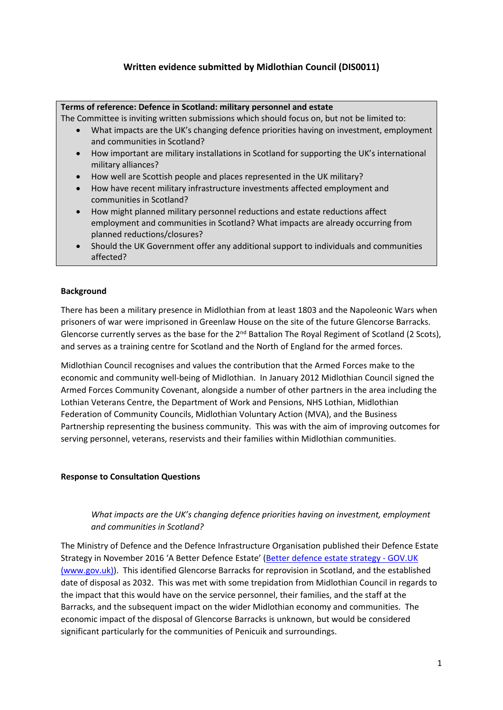# **Written evidence submitted by Midlothian Council (DIS0011)**

### **Terms of reference: Defence in Scotland: military personnel and estate**

The Committee is inviting written submissions which should focus on, but not be limited to:

- What impacts are the UK's changing defence priorities having on investment, employment and communities in Scotland?
- How important are military installations in Scotland for supporting the UK's international military alliances?
- How well are Scottish people and places represented in the UK military?
- How have recent military infrastructure investments affected employment and communities in Scotland?
- How might planned military personnel reductions and estate reductions affect employment and communities in Scotland? What impacts are already occurring from planned reductions/closures?
- Should the UK Government offer any additional support to individuals and communities affected?

## **Background**

There has been a military presence in Midlothian from at least 1803 and the Napoleonic Wars when prisoners of war were imprisoned in Greenlaw House on the site of the future Glencorse Barracks. Glencorse currently serves as the base for the 2<sup>nd</sup> Battalion The Royal Regiment of Scotland (2 Scots), and serves as a training centre for Scotland and the North of England for the armed forces.

Midlothian Council recognises and values the contribution that the Armed Forces make to the economic and community well-being of Midlothian. In January 2012 Midlothian Council signed the Armed Forces Community Covenant, alongside a number of other partners in the area including the Lothian Veterans Centre, the Department of Work and Pensions, NHS Lothian, Midlothian Federation of Community Councils, Midlothian Voluntary Action (MVA), and the Business Partnership representing the business community. This was with the aim of improving outcomes for serving personnel, veterans, reservists and their families within Midlothian communities.

#### **Response to Consultation Questions**

## *What impacts are the UK's changing defence priorities having on investment, employment and communities in Scotland?*

The Ministry of Defence and the Defence Infrastructure Organisation published their Defence Estate Strategy in November 2016 'A Better Defence Estate' ([Better](https://www.gov.uk/government/publications/better-defence-estate-strategy) [defence](https://www.gov.uk/government/publications/better-defence-estate-strategy) [estate](https://www.gov.uk/government/publications/better-defence-estate-strategy) [strategy](https://www.gov.uk/government/publications/better-defence-estate-strategy) [-](https://www.gov.uk/government/publications/better-defence-estate-strategy) [GOV.UK](https://www.gov.uk/government/publications/better-defence-estate-strategy) [\(www.gov.uk\)\)](https://www.gov.uk/government/publications/better-defence-estate-strategy). This identified Glencorse Barracks for reprovision in Scotland, and the established date of disposal as 2032. This was met with some trepidation from Midlothian Council in regards to the impact that this would have on the service personnel, their families, and the staff at the Barracks, and the subsequent impact on the wider Midlothian economy and communities. The economic impact of the disposal of Glencorse Barracks is unknown, but would be considered significant particularly for the communities of Penicuik and surroundings.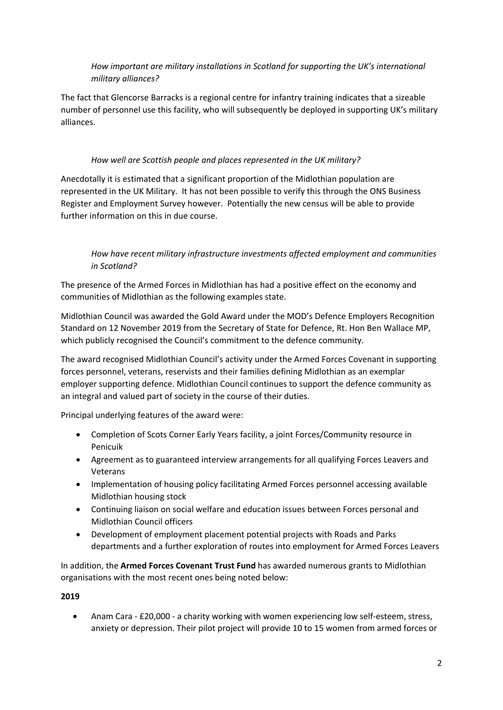# *How important are military installations in Scotland for supporting the UK's international military alliances?*

The fact that Glencorse Barracks is a regional centre for infantry training indicates that a sizeable number of personnel use this facility, who will subsequently be deployed in supporting UK's military alliances.

## *How well are Scottish people and places represented in the UK military?*

Anecdotally it is estimated that a significant proportion of the Midlothian population are represented in the UK Military. It has not been possible to verify this through the ONS Business Register and Employment Survey however. Potentially the new census will be able to provide further information on this in due course.

# *How have recent military infrastructure investments affected employment and communities in Scotland?*

The presence of the Armed Forces in Midlothian has had a positive effect on the economy and communities of Midlothian as the following examples state.

Midlothian Council was awarded the Gold Award under the MOD's Defence Employers Recognition Standard on 12 November 2019 from the Secretary of State for Defence, Rt. Hon Ben Wallace MP, which publicly recognised the Council's commitment to the defence community.

The award recognised Midlothian Council's activity under the Armed Forces Covenant in supporting forces personnel, veterans, reservists and their families defining Midlothian as an exemplar employer supporting defence. Midlothian Council continues to support the defence community as an integral and valued part of society in the course of their duties.

Principal underlying features of the award were:

- Completion of Scots Corner Early Years facility, a joint Forces/Community resource in Penicuik
- Agreement as to guaranteed interview arrangements for all qualifying Forces Leavers and Veterans
- Implementation of housing policy facilitating Armed Forces personnel accessing available Midlothian housing stock
- Continuing liaison on social welfare and education issues between Forces personal and Midlothian Council officers
- Development of employment placement potential projects with Roads and Parks departments and a further exploration of routes into employment for Armed Forces Leavers

In addition, the **Armed Forces Covenant Trust Fund** has awarded numerous grants to Midlothian organisations with the most recent ones being noted below:

# **2019**

 Anam Cara - £20,000 - a charity working with women experiencing low self-esteem, stress, anxiety or depression. Their pilot project will provide 10 to 15 women from armed forces or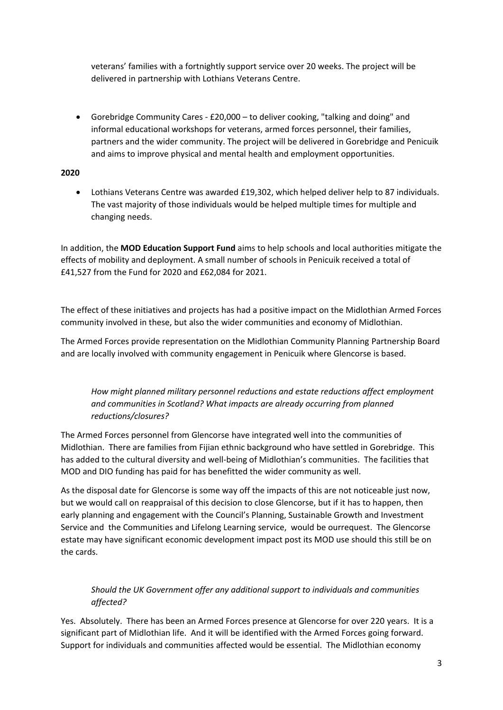veterans' families with a fortnightly support service over 20 weeks. The project will be delivered in partnership with Lothians Veterans Centre.

 Gorebridge Community Cares - £20,000 – to deliver cooking, "talking and doing" and informal educational workshops for veterans, armed forces personnel, their families, partners and the wider community. The project will be delivered in Gorebridge and Penicuik and aims to improve physical and mental health and employment opportunities.

## **2020**

 Lothians Veterans Centre was awarded £19,302, which helped deliver help to 87 individuals. The vast majority of those individuals would be helped multiple times for multiple and changing needs.

In addition, the **MOD Education Support Fund** aims to help schools and local authorities mitigate the effects of mobility and deployment. A small number of schools in Penicuik received a total of £41,527 from the Fund for 2020 and £62,084 for 2021.

The effect of these initiatives and projects has had a positive impact on the Midlothian Armed Forces community involved in these, but also the wider communities and economy of Midlothian.

The Armed Forces provide representation on the Midlothian Community Planning Partnership Board and are locally involved with community engagement in Penicuik where Glencorse is based.

*How might planned military personnel reductions and estate reductions affect employment and communities in Scotland? What impacts are already occurring from planned reductions/closures?*

The Armed Forces personnel from Glencorse have integrated well into the communities of Midlothian. There are families from Fijian ethnic background who have settled in Gorebridge. This has added to the cultural diversity and well-being of Midlothian's communities. The facilities that MOD and DIO funding has paid for has benefitted the wider community as well.

As the disposal date for Glencorse is some way off the impacts of this are not noticeable just now, but we would call on reappraisal of this decision to close Glencorse, but if it has to happen, then early planning and engagement with the Council's Planning, Sustainable Growth and Investment Service and the Communities and Lifelong Learning service, would be ourrequest. The Glencorse estate may have significant economic development impact post its MOD use should this still be on the cards.

# *Should the UK Government offer any additional support to individuals and communities affected?*

Yes. Absolutely. There has been an Armed Forces presence at Glencorse for over 220 years. It is a significant part of Midlothian life. And it will be identified with the Armed Forces going forward. Support for individuals and communities affected would be essential. The Midlothian economy